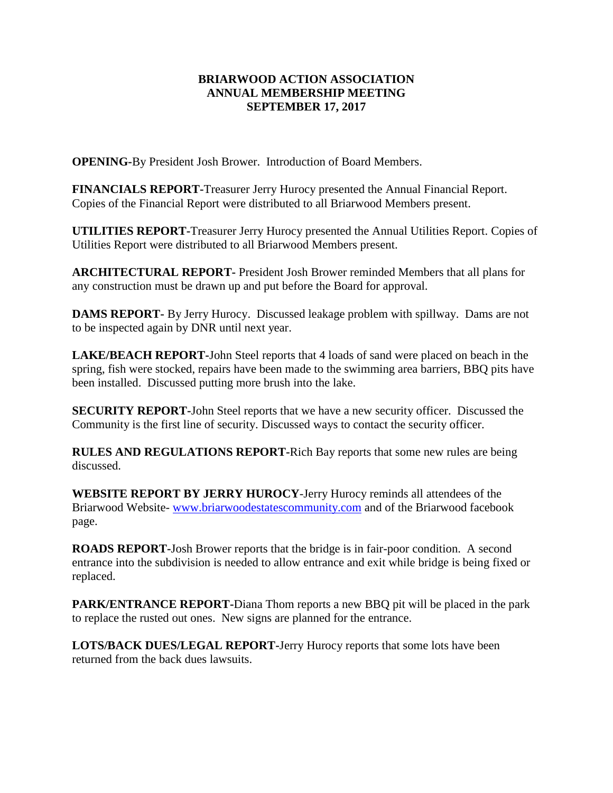## **BRIARWOOD ACTION ASSOCIATION ANNUAL MEMBERSHIP MEETING SEPTEMBER 17, 2017**

**OPENING-**By President Josh Brower. Introduction of Board Members.

**FINANCIALS REPORT-**Treasurer Jerry Hurocy presented the Annual Financial Report. Copies of the Financial Report were distributed to all Briarwood Members present.

**UTILITIES REPORT-**Treasurer Jerry Hurocy presented the Annual Utilities Report. Copies of Utilities Report were distributed to all Briarwood Members present.

**ARCHITECTURAL REPORT-** President Josh Brower reminded Members that all plans for any construction must be drawn up and put before the Board for approval.

**DAMS REPORT-** By Jerry Hurocy. Discussed leakage problem with spillway. Dams are not to be inspected again by DNR until next year.

**LAKE/BEACH REPORT-**John Steel reports that 4 loads of sand were placed on beach in the spring, fish were stocked, repairs have been made to the swimming area barriers, BBQ pits have been installed. Discussed putting more brush into the lake.

**SECURITY REPORT-**John Steel reports that we have a new security officer. Discussed the Community is the first line of security. Discussed ways to contact the security officer.

**RULES AND REGULATIONS REPORT-**Rich Bay reports that some new rules are being discussed.

**WEBSITE REPORT BY JERRY HUROCY**-Jerry Hurocy reminds all attendees of the Briarwood Website- [www.briarwoodestatescommunity.com](http://www.briarwoodestatescommunity.com/) and of the Briarwood facebook page.

**ROADS REPORT-**Josh Brower reports that the bridge is in fair-poor condition. A second entrance into the subdivision is needed to allow entrance and exit while bridge is being fixed or replaced.

**PARK/ENTRANCE REPORT-**Diana Thom reports a new BBQ pit will be placed in the park to replace the rusted out ones. New signs are planned for the entrance.

**LOTS/BACK DUES/LEGAL REPORT-**Jerry Hurocy reports that some lots have been returned from the back dues lawsuits.